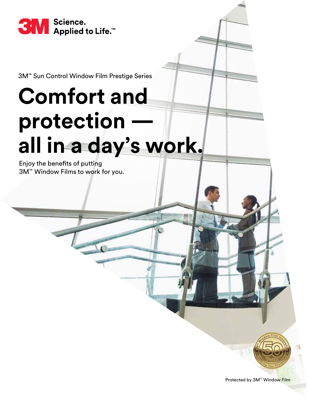

3M™ Sun Control Window Film Prestige Series

## **Comfort and protection all in a day's work.**

Enjoy the benefits of putting 3M™ Window Films to work for you.



Protected by 3M™ Window Film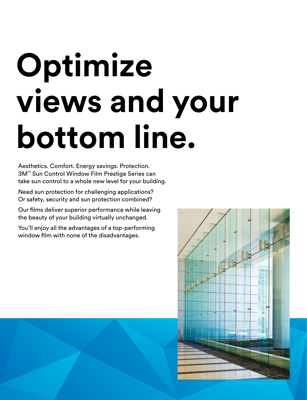# **Optimize views and your bottom line.**

Aesthetics. Comfort. Energy savings. Protection. 3M™ Sun Control Window Film Prestige Series can take sun control to a whole new level for your building.

Need sun protection for challenging applications? Or safety, security and sun protection combined?

Our films deliver superior performance while leaving the beauty of your building virtually unchanged.

You'll enjoy all the advantages of a top-performing window film with none of the disadvantages.

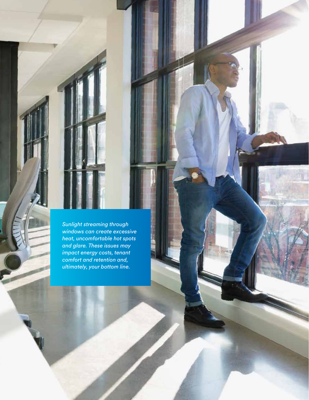*Sunlight streaming through windows can create excessive heat, uncomfortable hot spots and glare. These issues may impact energy costs, tenant comfort and retention and, ultimately, your bottom line.*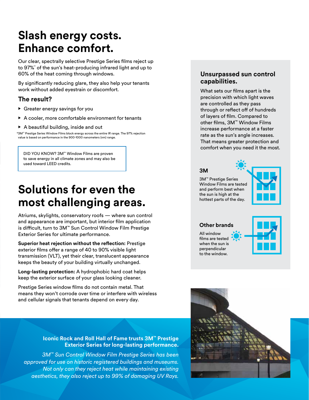## **Slash energy costs. Enhance comfort.**

Our clear, spectrally selective Prestige Series films reject up to 97%\* of the sun's heat-producing infrared light and up to 60% of the heat coming through windows.

By significantly reducing glare, they also help your tenants work without added eyestrain or discomfort.

#### **The result?**

- **•** Greater energy savings for you
- A cooler, more comfortable environment for tenants
- A beautiful building, inside and out

\*3M™ Prestige Series Window Films block energy across the entire IR range. The 97% rejection value is based on performance in the 900-1000 nanometers (nm) range.

DID YOU KNOW? 3M™ Window Films are proven to save energy in all climate zones and may also be used toward LEED credits.

## **Solutions for even the most challenging areas.**

Atriums, skylights, conservatory roofs — where sun control and appearance are important, but interior film application is difficult, turn to 3M™ Sun Control Window Film Prestige Exterior Series for ultimate performance.

**Superior heat rejection without the reflection:** Prestige exterior films offer a range of 40 to 90% visible light transmission (VLT), yet their clear, translucent appearance keeps the beauty of your building virtually unchanged.

**Long-lasting protection:** A hydrophobic hard coat helps keep the exterior surface of your glass looking cleaner.

Prestige Series window films do not contain metal. That means they won't corrode over time or interfere with wireless and cellular signals that tenants depend on every day.

#### **Iconic Rock and Roll Hall of Fame trusts 3M™ Prestige Exterior Series for long-lasting performance.**

*3M™ Sun Control Window Film Prestige Series has been approved for use on historic registered buildings and museums. Not only can they reject heat while maintaining existing aesthetics, they also reject up to 99% of damaging UV Rays.*

#### **Unsurpassed sun control capabilities.**

What sets our films apart is the precision with which light waves are controlled as they pass through or reflect off of hundreds of layers of film. Compared to other films, 3M™ Window Films increase performance at a faster rate as the sun's angle increases. That means greater protection and comfort when you need it the most.

#### **3M**

3M™ Prestige Series Window Films are tested and perform best when the sun is high at the hottest parts of the day.



**Other brands**

All window films are tested when the sun is perpendicular to the window.



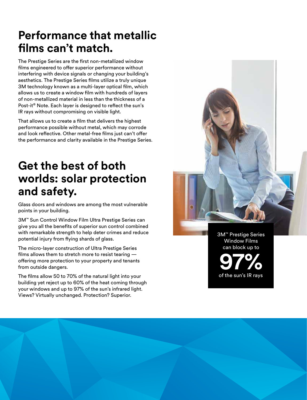## **Performance that metallic films can't match.**

The Prestige Series are the first non-metallized window films engineered to offer superior performance without interfering with device signals or changing your building's aesthetics. The Prestige Series films utilize a truly unique 3M technology known as a multi-layer optical film, which allows us to create a window film with hundreds of layers of non-metallized material in less than the thickness of a Post-it® Note. Each layer is designed to reflect the sun's IR rays without compromising on visible light.

That allows us to create a film that delivers the highest performance possible without metal, which may corrode and look reflective. Other metal-free films just can't offer the performance and clarity available in the Prestige Series.

## **Get the best of both worlds: solar protection and safety.**

Glass doors and windows are among the most vulnerable points in your building.

3M™ Sun Control Window Film Ultra Prestige Series can give you all the benefits of superior sun control combined with remarkable strength to help deter crimes and reduce potential injury from flying shards of glass.

The micro-layer construction of Ultra Prestige Series films allows them to stretch more to resist tearing  $$ offering more protection to your property and tenants from outside dangers.

The films allow 50 to 70% of the natural light into your building yet reject up to 60% of the heat coming through your windows and up to 97% of the sun's infrared light. Views? Virtually unchanged. Protection? Superior.

3M™ Prestige Series Window Films can block up to

of the sun's IR rays **97%**